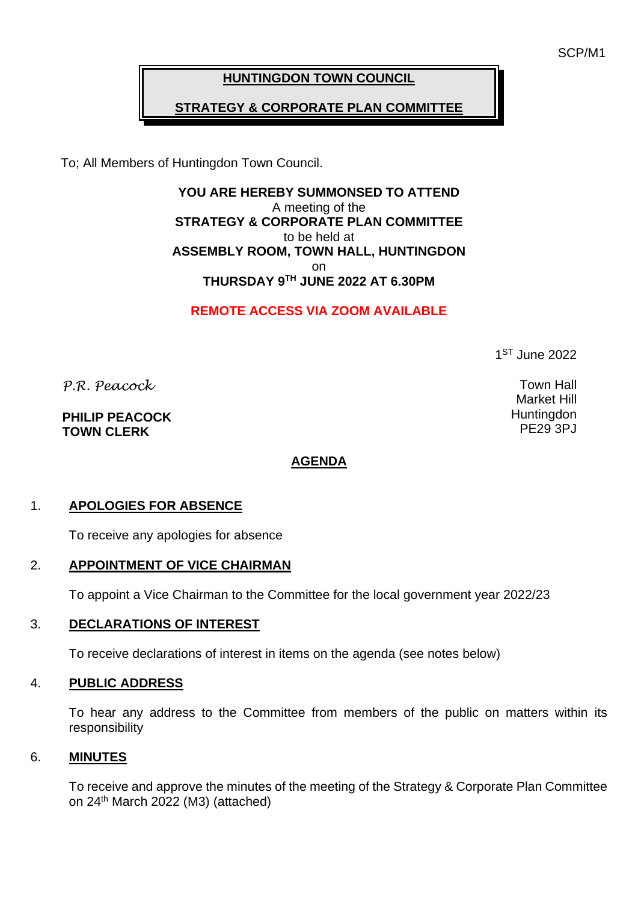SCP/M1

## **HUNTINGDON TOWN COUNCIL**

# **STRATEGY & CORPORATE PLAN COMMITTEE**

To; All Members of Huntingdon Town Council.

**YOU ARE HEREBY SUMMONSED TO ATTEND** A meeting of the **STRATEGY & CORPORATE PLAN COMMITTEE** to be held at **ASSEMBLY ROOM, TOWN HALL, HUNTINGDON** on **THURSDAY 9 TH JUNE 2022 AT 6.30PM**

**REMOTE ACCESS VIA ZOOM AVAILABLE**

1 ST June 2022

*P.R. Peacock* 

**PHILIP PEACOCK TOWN CLERK**

### **AGENDA**

### 1. **APOLOGIES FOR ABSENCE**

To receive any apologies for absence

#### 2. **APPOINTMENT OF VICE CHAIRMAN**

To appoint a Vice Chairman to the Committee for the local government year 2022/23

#### 3. **DECLARATIONS OF INTEREST**

To receive declarations of interest in items on the agenda (see notes below)

### 4. **PUBLIC ADDRESS**

To hear any address to the Committee from members of the public on matters within its responsibility

#### 6. **MINUTES**

To receive and approve the minutes of the meeting of the Strategy & Corporate Plan Committee on 24<sup>th</sup> March 2022 (M3) (attached)

Town Hall Market Hill **Huntingdon** PE29 3PJ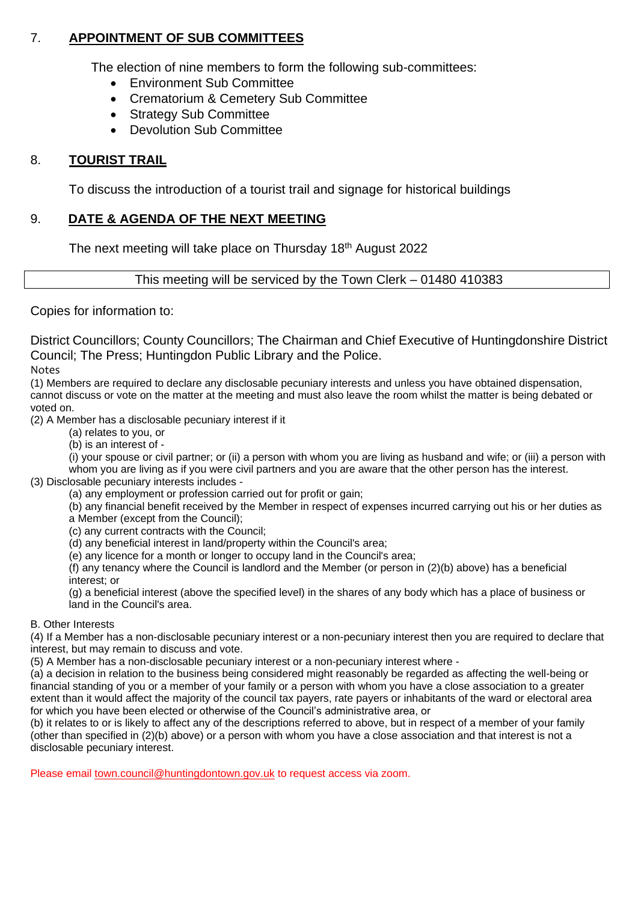### 7. **APPOINTMENT OF SUB COMMITTEES**

The election of nine members to form the following sub-committees:

- Environment Sub Committee
- Crematorium & Cemetery Sub Committee
- Strategy Sub Committee
- Devolution Sub Committee

### 8. **TOURIST TRAIL**

To discuss the introduction of a tourist trail and signage for historical buildings

### 9. **DATE & AGENDA OF THE NEXT MEETING**

The next meeting will take place on Thursday 18<sup>th</sup> August 2022

This meeting will be serviced by the Town Clerk – 01480 410383

Copies for information to:

District Councillors; County Councillors; The Chairman and Chief Executive of Huntingdonshire District Council; The Press; Huntingdon Public Library and the Police.

Notes

(1) Members are required to declare any disclosable pecuniary interests and unless you have obtained dispensation, cannot discuss or vote on the matter at the meeting and must also leave the room whilst the matter is being debated or voted on.

(2) A Member has a disclosable pecuniary interest if it

(a) relates to you, or

(b) is an interest of -

(i) your spouse or civil partner; or (ii) a person with whom you are living as husband and wife; or (iii) a person with whom you are living as if you were civil partners and you are aware that the other person has the interest. (3) Disclosable pecuniary interests includes -

(a) any employment or profession carried out for profit or gain;

(b) any financial benefit received by the Member in respect of expenses incurred carrying out his or her duties as a Member (except from the Council);

(c) any current contracts with the Council;

(d) any beneficial interest in land/property within the Council's area;

(e) any licence for a month or longer to occupy land in the Council's area;

(f) any tenancy where the Council is landlord and the Member (or person in (2)(b) above) has a beneficial interest; or

(g) a beneficial interest (above the specified level) in the shares of any body which has a place of business or land in the Council's area.

#### B. Other Interests

(4) If a Member has a non-disclosable pecuniary interest or a non-pecuniary interest then you are required to declare that interest, but may remain to discuss and vote.

(5) A Member has a non-disclosable pecuniary interest or a non-pecuniary interest where -

(a) a decision in relation to the business being considered might reasonably be regarded as affecting the well-being or financial standing of you or a member of your family or a person with whom you have a close association to a greater extent than it would affect the majority of the council tax payers, rate payers or inhabitants of the ward or electoral area for which you have been elected or otherwise of the Council's administrative area, or

(b) it relates to or is likely to affect any of the descriptions referred to above, but in respect of a member of your family (other than specified in (2)(b) above) or a person with whom you have a close association and that interest is not a disclosable pecuniary interest.

Please email [town.council@huntingdontown.gov.uk](mailto:town.council@huntingdontown.gov.uk) to request access via zoom.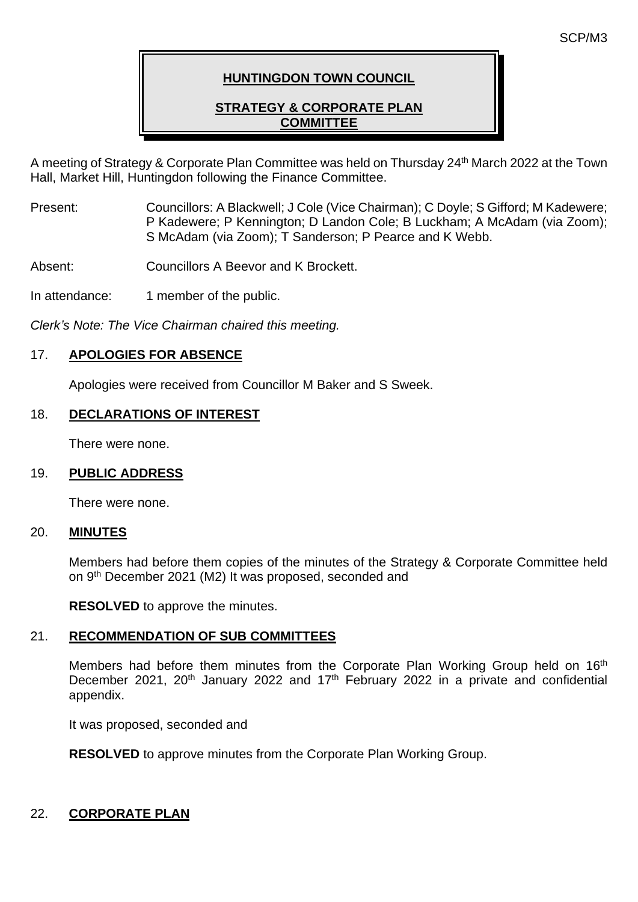## **HUNTINGDON TOWN COUNCIL**

## **STRATEGY & CORPORATE PLAN COMMITTEE**

A meeting of Strategy & Corporate Plan Committee was held on Thursday 24<sup>th</sup> March 2022 at the Town Hall, Market Hill, Huntingdon following the Finance Committee.

Present: Councillors: A Blackwell; J Cole (Vice Chairman); C Doyle; S Gifford; M Kadewere; P Kadewere; P Kennington; D Landon Cole; B Luckham; A McAdam (via Zoom); S McAdam (via Zoom); T Sanderson; P Pearce and K Webb.

Absent: Councillors A Beevor and K Brockett.

In attendance: 1 member of the public.

*Clerk's Note: The Vice Chairman chaired this meeting.*

### 17. **APOLOGIES FOR ABSENCE**

Apologies were received from Councillor M Baker and S Sweek.

### 18. **DECLARATIONS OF INTEREST**

There were none.

### 19. **PUBLIC ADDRESS**

There were none.

### 20. **MINUTES**

Members had before them copies of the minutes of the Strategy & Corporate Committee held on 9<sup>th</sup> December 2021 (M2) It was proposed, seconded and

**RESOLVED** to approve the minutes.

## 21. **RECOMMENDATION OF SUB COMMITTEES**

Members had before them minutes from the Corporate Plan Working Group held on 16<sup>th</sup> December 2021, 20<sup>th</sup> January 2022 and 17<sup>th</sup> February 2022 in a private and confidential appendix.

It was proposed, seconded and

**RESOLVED** to approve minutes from the Corporate Plan Working Group.

# 22. **CORPORATE PLAN**